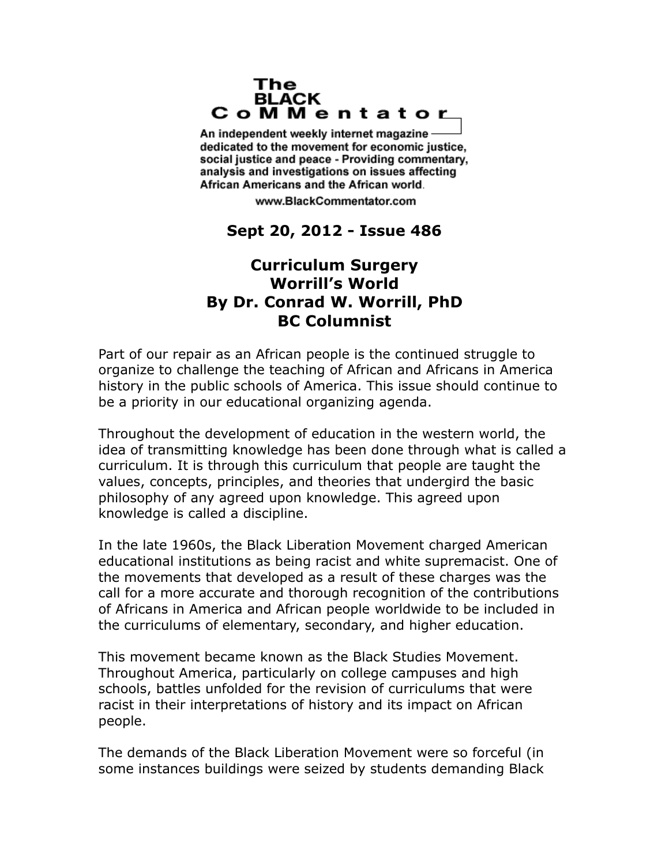## The **BLACK** CoMMentator

An independent weekly internet magazine dedicated to the movement for economic justice. social justice and peace - Providing commentary, analysis and investigations on issues affecting African Americans and the African world.

www.BlackCommentator.com

## **Sept 20, 2012 - Issue 486**

## **Curriculum Surgery Worrill's World By Dr. Conrad W. Worrill, PhD BC Columnist**

Part of our repair as an African people is the continued struggle to organize to challenge the teaching of African and Africans in America history in the public schools of America. This issue should continue to be a priority in our educational organizing agenda.

Throughout the development of education in the western world, the idea of transmitting knowledge has been done through what is called a curriculum. It is through this curriculum that people are taught the values, concepts, principles, and theories that undergird the basic philosophy of any agreed upon knowledge. This agreed upon knowledge is called a discipline.

In the late 1960s, the Black Liberation Movement charged American educational institutions as being racist and white supremacist. One of the movements that developed as a result of these charges was the call for a more accurate and thorough recognition of the contributions of Africans in America and African people worldwide to be included in the curriculums of elementary, secondary, and higher education.

This movement became known as the Black Studies Movement. Throughout America, particularly on college campuses and high schools, battles unfolded for the revision of curriculums that were racist in their interpretations of history and its impact on African people.

The demands of the Black Liberation Movement were so forceful (in some instances buildings were seized by students demanding Black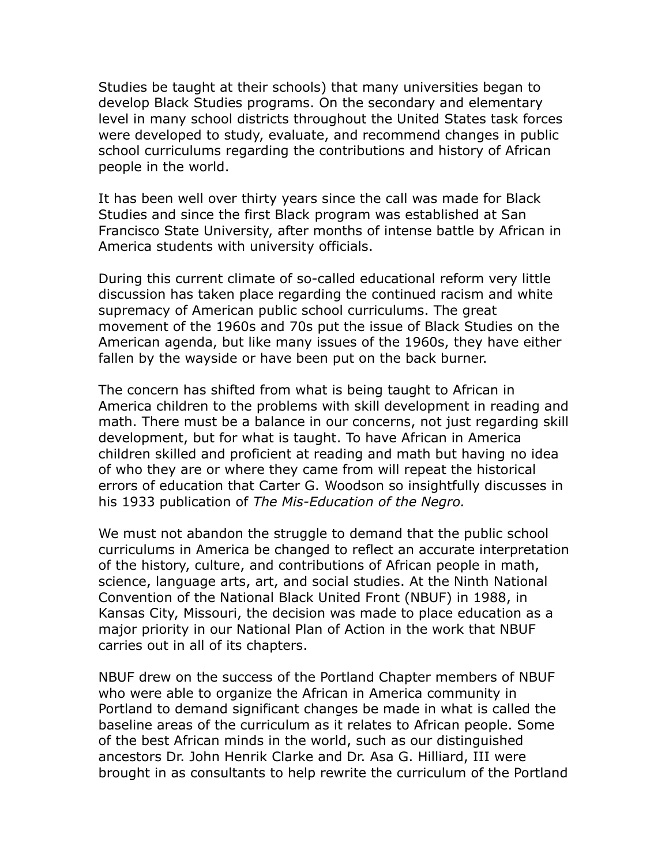Studies be taught at their schools) that many universities began to develop Black Studies programs. On the secondary and elementary level in many school districts throughout the United States task forces were developed to study, evaluate, and recommend changes in public school curriculums regarding the contributions and history of African people in the world.

It has been well over thirty years since the call was made for Black Studies and since the first Black program was established at San Francisco State University, after months of intense battle by African in America students with university officials.

During this current climate of so-called educational reform very little discussion has taken place regarding the continued racism and white supremacy of American public school curriculums. The great movement of the 1960s and 70s put the issue of Black Studies on the American agenda, but like many issues of the 1960s, they have either fallen by the wayside or have been put on the back burner.

The concern has shifted from what is being taught to African in America children to the problems with skill development in reading and math. There must be a balance in our concerns, not just regarding skill development, but for what is taught. To have African in America children skilled and proficient at reading and math but having no idea of who they are or where they came from will repeat the historical errors of education that Carter G. Woodson so insightfully discusses in his 1933 publication of *The Mis-Education of the Negro.*

We must not abandon the struggle to demand that the public school curriculums in America be changed to reflect an accurate interpretation of the history, culture, and contributions of African people in math, science, language arts, art, and social studies. At the Ninth National Convention of the National Black United Front (NBUF) in 1988, in Kansas City, Missouri, the decision was made to place education as a major priority in our National Plan of Action in the work that NBUF carries out in all of its chapters.

NBUF drew on the success of the Portland Chapter members of NBUF who were able to organize the African in America community in Portland to demand significant changes be made in what is called the baseline areas of the curriculum as it relates to African people. Some of the best African minds in the world, such as our distinguished ancestors Dr. John Henrik Clarke and Dr. Asa G. Hilliard, III were brought in as consultants to help rewrite the curriculum of the Portland